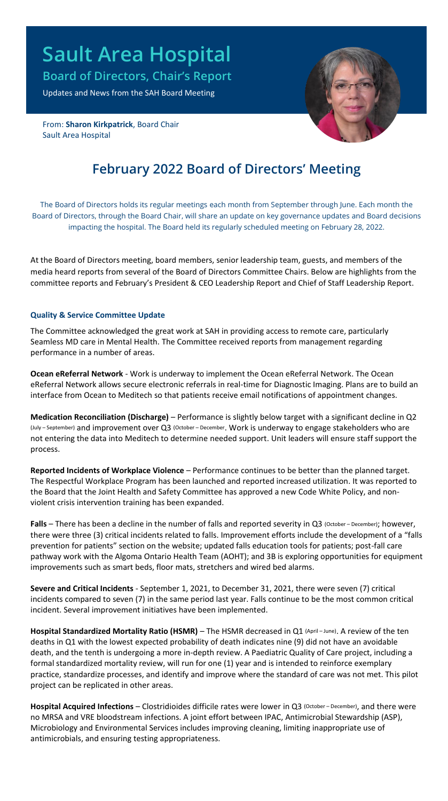# **Sault Area Hospital**

**Board of Directors, Chair's Report**

Updates and News from the SAH Board Meeting

From: **Sharon Kirkpatrick**, Board Chair Sault Area Hospital



# **February 2022 Board of Directors' Meeting**

The Board of Directors holds its regular meetings each month from September through June. Each month the Board of Directors, through the Board Chair, will share an update on key governance updates and Board decisions impacting the hospital. The Board held its regularly scheduled meeting on February 28, 2022.

At the Board of Directors meeting, board members, senior leadership team, guests, and members of the media heard reports from several of the Board of Directors Committee Chairs. Below are highlights from the committee reports and February's President & CEO Leadership Report and Chief of Staff Leadership Report.

## **Quality & Service Committee Update**

The Committee acknowledged the great work at SAH in providing access to remote care, particularly Seamless MD care in Mental Health. The Committee received reports from management regarding performance in a number of areas.

**Ocean eReferral Network** - Work is underway to implement the Ocean eReferral Network. The Ocean eReferral Network allows secure electronic referrals in real-time for Diagnostic Imaging. Plans are to build an interface from Ocean to Meditech so that patients receive email notifications of appointment changes.

**Medication Reconciliation (Discharge)** – Performance is slightly below target with a significant decline in Q2 (July – September) and improvement over Q3 (October – December. Work is underway to engage stakeholders who are not entering the data into Meditech to determine needed support. Unit leaders will ensure staff support the process.

**Reported Incidents of Workplace Violence** – Performance continues to be better than the planned target. The Respectful Workplace Program has been launched and reported increased utilization. It was reported to the Board that the Joint Health and Safety Committee has approved a new Code White Policy, and nonviolent crisis intervention training has been expanded.

**Falls** – There has been a decline in the number of falls and reported severity in Q3 (October-December); however, there were three (3) critical incidents related to falls. Improvement efforts include the development of a "falls prevention for patients" section on the website; updated falls education tools for patients; post-fall care pathway work with the Algoma Ontario Health Team (AOHT); and 3B is exploring opportunities for equipment improvements such as smart beds, floor mats, stretchers and wired bed alarms.

**Severe and Critical Incidents** - September 1, 2021, to December 31, 2021, there were seven (7) critical incidents compared to seven (7) in the same period last year. Falls continue to be the most common critical incident. Several improvement initiatives have been implemented.

**Hospital Standardized Mortality Ratio (HSMR)** – The HSMR decreased in Q1 (April – June). A review of the ten deaths in Q1 with the lowest expected probability of death indicates nine (9) did not have an avoidable death, and the tenth is undergoing a more in-depth review. A Paediatric Quality of Care project, including a formal standardized mortality review, will run for one (1) year and is intended to reinforce exemplary practice, standardize processes, and identify and improve where the standard of care was not met. This pilot project can be replicated in other areas.

**Hospital Acquired Infections** – Clostridioides difficile rates were lower in Q3 (October – December), and there were no MRSA and VRE bloodstream infections. A joint effort between IPAC, Antimicrobial Stewardship (ASP), Microbiology and Environmental Services includes improving cleaning, limiting inappropriate use of antimicrobials, and ensuring testing appropriateness.